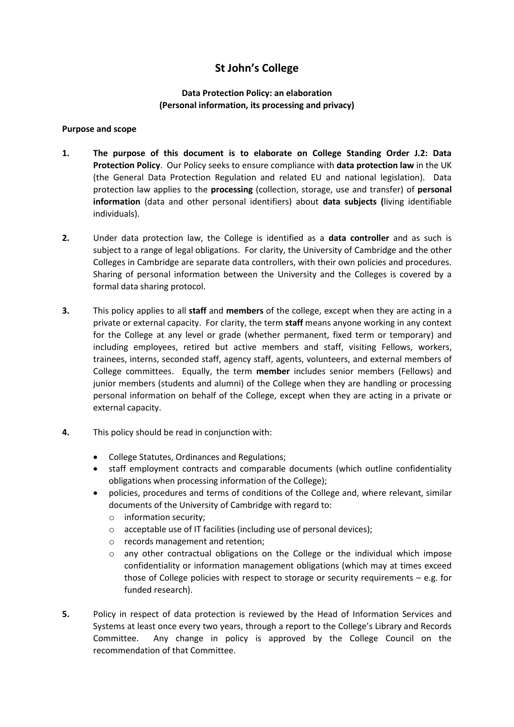# **St John's College**

# **Data Protection Policy: an elaboration (Personal information, its processing and privacy)**

## **Purpose and scope**

- **1. The purpose of this document is to elaborate on College Standing Order J.2: Data Protection Policy**. Our Policy seeks to ensure compliance with **data protection law** in the UK (the General Data Protection Regulation and related EU and national legislation). Data protection law applies to the **processing** (collection, storage, use and transfer) of **personal information** (data and other personal identifiers) about **data subjects (**living identifiable individuals).
- **2.** Under data protection law, the College is identified as a **data controller** and as such is subject to a range of legal obligations. For clarity, the University of Cambridge and the other Colleges in Cambridge are separate data controllers, with their own policies and procedures. Sharing of personal information between the University and the Colleges is covered by a formal data sharing protocol.
- **3.** This policy applies to all **staff** and **members** of the college, except when they are acting in a private or external capacity. For clarity, the term **staff** means anyone working in any context for the College at any level or grade (whether permanent, fixed term or temporary) and including employees, retired but active members and staff, visiting Fellows, workers, trainees, interns, seconded staff, agency staff, agents, volunteers, and external members of College committees. Equally, the term **member** includes senior members (Fellows) and junior members (students and alumni) of the College when they are handling or processing personal information on behalf of the College, except when they are acting in a private or external capacity.
- **4.** This policy should be read in conjunction with:
	- College Statutes, Ordinances and Regulations;
	- staff employment contracts and comparable documents (which outline confidentiality obligations when processing information of the College);
	- policies, procedures and terms of conditions of the College and, where relevant, similar documents of the University of Cambridge with regard to:
		- o information security;
		- o acceptable use of IT facilities (including use of personal devices);
		- o records management and retention;
		- $\circ$  any other contractual obligations on the College or the individual which impose confidentiality or information management obligations (which may at times exceed those of College policies with respect to storage or security requirements  $-$  e.g. for funded research).
- **5.** Policy in respect of data protection is reviewed by the Head of Information Services and Systems at least once every two years, through a report to the College's Library and Records Committee. Any change in policy is approved by the College Council on the recommendation of that Committee.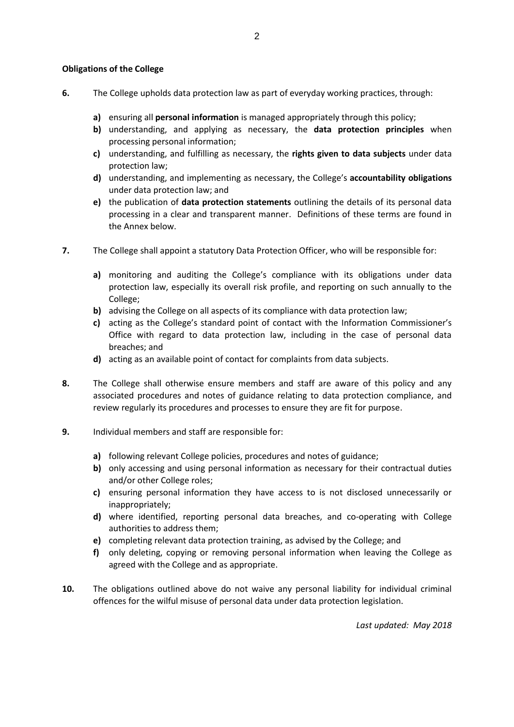### **Obligations of the College**

- **6.** The College upholds data protection law as part of everyday working practices, through:
	- **a)** ensuring all **personal information** is managed appropriately through this policy;
	- **b)** understanding, and applying as necessary, the **data protection principles** when processing personal information;
	- **c)** understanding, and fulfilling as necessary, the **rights given to data subjects** under data protection law;
	- **d)** understanding, and implementing as necessary, the College's **accountability obligations** under data protection law; and
	- **e)** the publication of **data protection statements** outlining the details of its personal data processing in a clear and transparent manner. Definitions of these terms are found in the Annex below.
- **7.** The College shall appoint a statutory Data Protection Officer, who will be responsible for:
	- **a)** monitoring and auditing the College's compliance with its obligations under data protection law, especially its overall risk profile, and reporting on such annually to the College;
	- **b)** advising the College on all aspects of its compliance with data protection law;
	- **c)** acting as the College's standard point of contact with the Information Commissioner's Office with regard to data protection law, including in the case of personal data breaches; and
	- **d)** acting as an available point of contact for complaints from data subjects.
- **8.** The College shall otherwise ensure members and staff are aware of this policy and any associated procedures and notes of guidance relating to data protection compliance, and review regularly its procedures and processes to ensure they are fit for purpose.
- **9.** Individual members and staff are responsible for:
	- **a)** following relevant College policies, procedures and notes of guidance;
	- **b)** only accessing and using personal information as necessary for their contractual duties and/or other College roles;
	- **c)** ensuring personal information they have access to is not disclosed unnecessarily or inappropriately;
	- **d)** where identified, reporting personal data breaches, and co-operating with College authorities to address them;
	- **e)** completing relevant data protection training, as advised by the College; and
	- **f)** only deleting, copying or removing personal information when leaving the College as agreed with the College and as appropriate.
- **10.** The obligations outlined above do not waive any personal liability for individual criminal offences for the wilful misuse of personal data under data protection legislation.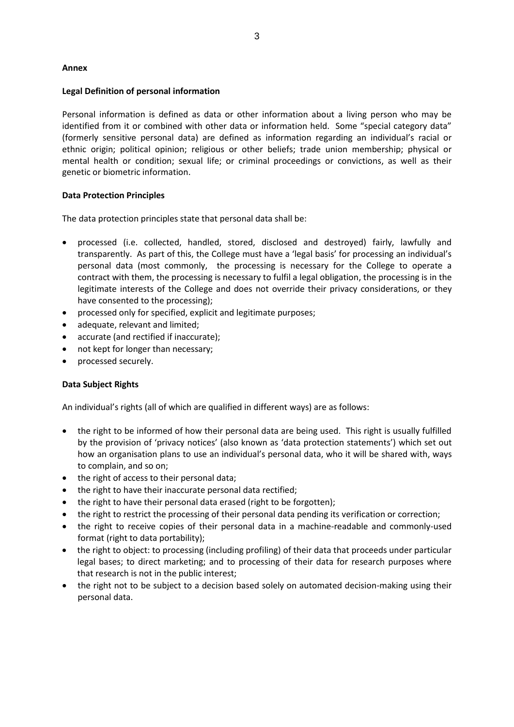#### **Annex**

#### **Legal Definition of personal information**

Personal information is defined as data or other information about a living person who may be identified from it or combined with other data or information held. Some "special category data" (formerly sensitive personal data) are defined as information regarding an individual's racial or ethnic origin; political opinion; religious or other beliefs; trade union membership; physical or mental health or condition; sexual life; or criminal proceedings or convictions, as well as their genetic or biometric information.

#### **Data Protection Principles**

The data protection principles state that personal data shall be:

- processed (i.e. collected, handled, stored, disclosed and destroyed) fairly, lawfully and transparently. As part of this, the College must have a 'legal basis' for processing an individual's personal data (most commonly, the processing is necessary for the College to operate a contract with them, the processing is necessary to fulfil a legal obligation, the processing is in the legitimate interests of the College and does not override their privacy considerations, or they have consented to the processing);
- processed only for specified, explicit and legitimate purposes;
- adequate, relevant and limited;
- accurate (and rectified if inaccurate);
- not kept for longer than necessary;
- processed securely.

#### **Data Subject Rights**

An individual's rights (all of which are qualified in different ways) are as follows:

- the right to be informed of how their personal data are being used. This right is usually fulfilled by the provision of 'privacy notices' (also known as 'data protection statements') which set out how an organisation plans to use an individual's personal data, who it will be shared with, ways to complain, and so on;
- the right of access to their personal data;
- the right to have their inaccurate personal data rectified;
- the right to have their personal data erased (right to be forgotten);
- the right to restrict the processing of their personal data pending its verification or correction;
- the right to receive copies of their personal data in a machine-readable and commonly-used format (right to data portability);
- the right to object: to processing (including profiling) of their data that proceeds under particular legal bases; to direct marketing; and to processing of their data for research purposes where that research is not in the public interest;
- the right not to be subject to a decision based solely on automated decision-making using their personal data.